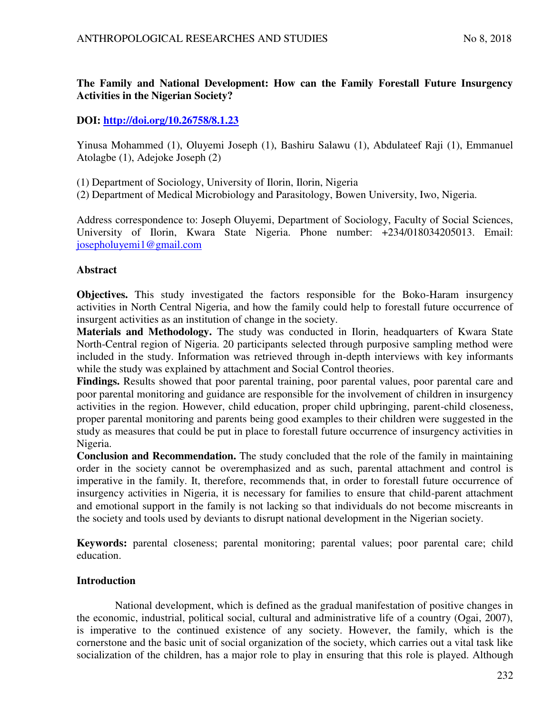# **The Family and National Development: How can the Family Forestall Future Insurgency Activities in the Nigerian Society?**

# **DOI:<http://doi.org/10.26758/8.1.23>**

Yinusa Mohammed (1), Oluyemi Joseph (1), Bashiru Salawu (1), Abdulateef Raji (1), Emmanuel Atolagbe (1), Adejoke Joseph (2)

(1) Department of Sociology, University of Ilorin, Ilorin, Nigeria

(2) Department of Medical Microbiology and Parasitology, Bowen University, Iwo, Nigeria.

Address correspondence to: Joseph Oluyemi, Department of Sociology, Faculty of Social Sciences, University of Ilorin, Kwara State Nigeria. Phone number: +234/018034205013. Email: [josepholuyemi1@gmail.com](mailto:josepholuyemi1@gmail.com) 

## **Abstract**

**Objectives.** This study investigated the factors responsible for the Boko-Haram insurgency activities in North Central Nigeria, and how the family could help to forestall future occurrence of insurgent activities as an institution of change in the society.

**Materials and Methodology.** The study was conducted in Ilorin, headquarters of Kwara State North-Central region of Nigeria. 20 participants selected through purposive sampling method were included in the study. Information was retrieved through in-depth interviews with key informants while the study was explained by attachment and Social Control theories.

**Findings.** Results showed that poor parental training, poor parental values, poor parental care and poor parental monitoring and guidance are responsible for the involvement of children in insurgency activities in the region. However, child education, proper child upbringing, parent-child closeness, proper parental monitoring and parents being good examples to their children were suggested in the study as measures that could be put in place to forestall future occurrence of insurgency activities in Nigeria.

**Conclusion and Recommendation.** The study concluded that the role of the family in maintaining order in the society cannot be overemphasized and as such, parental attachment and control is imperative in the family. It, therefore, recommends that, in order to forestall future occurrence of insurgency activities in Nigeria, it is necessary for families to ensure that child-parent attachment and emotional support in the family is not lacking so that individuals do not become miscreants in the society and tools used by deviants to disrupt national development in the Nigerian society.

**Keywords:** parental closeness; parental monitoring; parental values; poor parental care; child education.

# **Introduction**

National development, which is defined as the gradual manifestation of positive changes in the economic, industrial, political social, cultural and administrative life of a country (Ogai, 2007), is imperative to the continued existence of any society. However, the family, which is the cornerstone and the basic unit of social organization of the society, which carries out a vital task like socialization of the children, has a major role to play in ensuring that this role is played. Although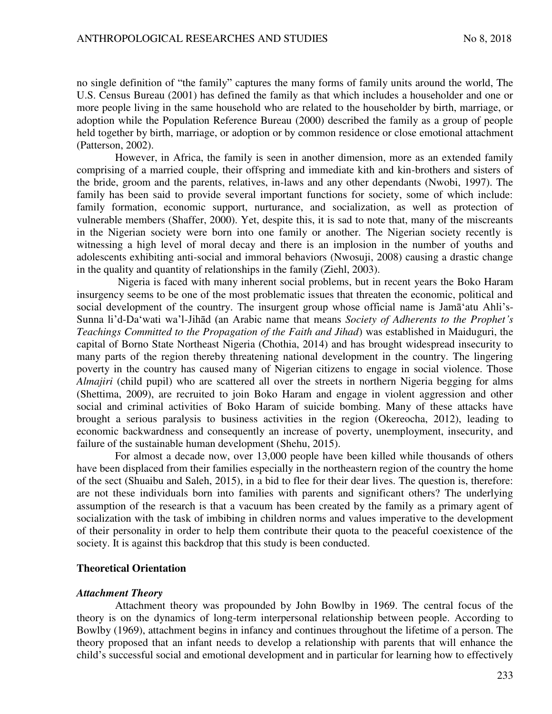no single definition of "the family" captures the many forms of family units around the world, The U.S. Census Bureau (2001) has defined the family as that which includes a householder and one or more people living in the same household who are related to the householder by birth, marriage, or adoption while the Population Reference Bureau (2000) described the family as a group of people held together by birth, marriage, or adoption or by common residence or close emotional attachment (Patterson, 2002).

However, in Africa, the family is seen in another dimension, more as an extended family comprising of a married couple, their offspring and immediate kith and kin-brothers and sisters of the bride, groom and the parents, relatives, in-laws and any other dependants (Nwobi, 1997). The family has been said to provide several important functions for society, some of which include: family formation, economic support, nurturance, and socialization, as well as protection of vulnerable members (Shaffer, 2000). Yet, despite this, it is sad to note that, many of the miscreants in the Nigerian society were born into one family or another. The Nigerian society recently is witnessing a high level of moral decay and there is an implosion in the number of youths and adolescents exhibiting anti-social and immoral behaviors (Nwosuji, 2008) causing a drastic change in the quality and quantity of relationships in the family (Ziehl, 2003).

Nigeria is faced with many inherent social problems, but in recent years the Boko Haram insurgency seems to be one of the most problematic issues that threaten the economic, political and social development of the country. The insurgent group whose official name is Jamā'atu Ahli's-Sunna li'd-Da'wati wa'l-Jihād (an Arabic name that means *Society of Adherents to the Prophet's Teachings Committed to the Propagation of the Faith and Jihad*) was established in Maiduguri, the capital of Borno State Northeast Nigeria (Chothia, 2014) and has brought widespread insecurity to many parts of the region thereby threatening national development in the country. The lingering poverty in the country has caused many of Nigerian citizens to engage in social violence. Those *Almajiri* (child pupil) who are scattered all over the streets in northern Nigeria begging for alms (Shettima, 2009), are recruited to join Boko Haram and engage in violent aggression and other social and criminal activities of Boko Haram of suicide bombing. Many of these attacks have brought a serious paralysis to business activities in the region (Okereocha, 2012), leading to economic backwardness and consequently an increase of poverty, unemployment, insecurity, and failure of the sustainable human development (Shehu, 2015).

For almost a decade now, over 13,000 people have been killed while thousands of others have been displaced from their families especially in the northeastern region of the country the home of the sect (Shuaibu and Saleh, 2015), in a bid to flee for their dear lives. The question is, therefore: are not these individuals born into families with parents and significant others? The underlying assumption of the research is that a vacuum has been created by the family as a primary agent of socialization with the task of imbibing in children norms and values imperative to the development of their personality in order to help them contribute their quota to the peaceful coexistence of the society. It is against this backdrop that this study is been conducted.

#### **Theoretical Orientation**

#### *Attachment Theory*

Attachment theory was propounded by John Bowlby in 1969. The central focus of the theory is on the dynamics of long-term interpersonal relationship between people. According to Bowlby (1969), attachment begins in infancy and continues throughout the lifetime of a person. The theory proposed that an infant needs to develop a relationship with parents that will enhance the child's successful social and emotional development and in particular for learning how to effectively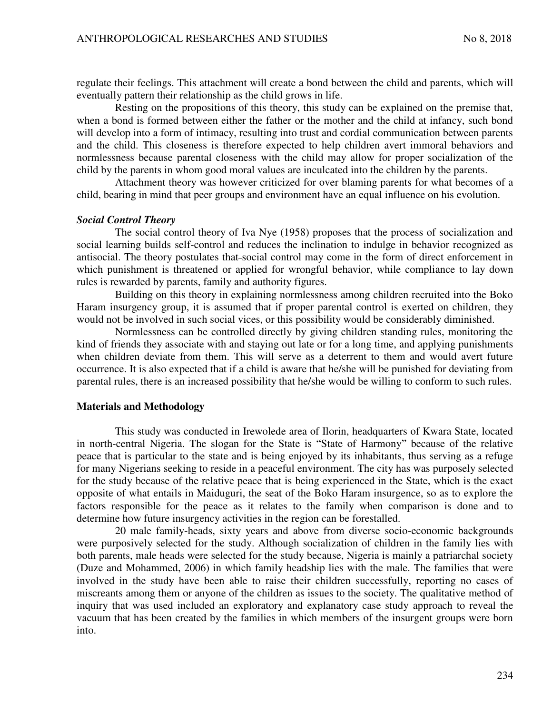regulate their feelings. This attachment will create a bond between the child and parents, which will eventually pattern their relationship as the child grows in life.

Resting on the propositions of this theory, this study can be explained on the premise that, when a bond is formed between either the father or the mother and the child at infancy, such bond will develop into a form of intimacy, resulting into trust and cordial communication between parents and the child. This closeness is therefore expected to help children avert immoral behaviors and normlessness because parental closeness with the child may allow for proper socialization of the child by the parents in whom good moral values are inculcated into the children by the parents.

Attachment theory was however criticized for over blaming parents for what becomes of a child, bearing in mind that peer groups and environment have an equal influence on his evolution.

#### *Social Control Theory*

The social control theory of Iva Nye (1958) proposes that the process of socialization and social learning builds self-control and reduces the inclination to indulge in behavior recognized as antisocial. The theory postulates that social control may come in the form of direct enforcement in which punishment is threatened or applied for wrongful behavior, while compliance to lay down rules is rewarded by parents, family and authority figures.

Building on this theory in explaining normlessness among children recruited into the Boko Haram insurgency group, it is assumed that if proper parental control is exerted on children, they would not be involved in such social vices, or this possibility would be considerably diminished.

Normlessness can be controlled directly by giving children standing rules, monitoring the kind of friends they associate with and staying out late or for a long time, and applying punishments when children deviate from them. This will serve as a deterrent to them and would avert future occurrence. It is also expected that if a child is aware that he/she will be punished for deviating from parental rules, there is an increased possibility that he/she would be willing to conform to such rules.

#### **Materials and Methodology**

This study was conducted in Irewolede area of Ilorin, headquarters of Kwara State, located in north-central Nigeria. The slogan for the State is "State of Harmony" because of the relative peace that is particular to the state and is being enjoyed by its inhabitants, thus serving as a refuge for many Nigerians seeking to reside in a peaceful environment. The city has was purposely selected for the study because of the relative peace that is being experienced in the State, which is the exact opposite of what entails in Maiduguri, the seat of the Boko Haram insurgence, so as to explore the factors responsible for the peace as it relates to the family when comparison is done and to determine how future insurgency activities in the region can be forestalled.

20 male family-heads, sixty years and above from diverse socio-economic backgrounds were purposively selected for the study. Although socialization of children in the family lies with both parents, male heads were selected for the study because, Nigeria is mainly a patriarchal society (Duze and Mohammed, 2006) in which family headship lies with the male. The families that were involved in the study have been able to raise their children successfully, reporting no cases of miscreants among them or anyone of the children as issues to the society. The qualitative method of inquiry that was used included an exploratory and explanatory case study approach to reveal the vacuum that has been created by the families in which members of the insurgent groups were born into.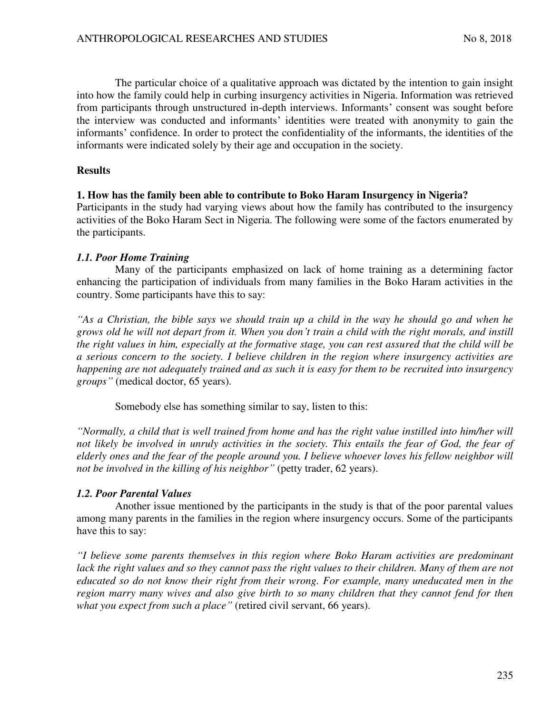The particular choice of a qualitative approach was dictated by the intention to gain insight into how the family could help in curbing insurgency activities in Nigeria. Information was retrieved from participants through unstructured in-depth interviews. Informants' consent was sought before the interview was conducted and informants' identities were treated with anonymity to gain the informants' confidence. In order to protect the confidentiality of the informants, the identities of the informants were indicated solely by their age and occupation in the society.

### **Results**

## **1. How has the family been able to contribute to Boko Haram Insurgency in Nigeria?**

Participants in the study had varying views about how the family has contributed to the insurgency activities of the Boko Haram Sect in Nigeria. The following were some of the factors enumerated by the participants.

## *1.1. Poor Home Training*

Many of the participants emphasized on lack of home training as a determining factor enhancing the participation of individuals from many families in the Boko Haram activities in the country. Some participants have this to say:

*"As a Christian, the bible says we should train up a child in the way he should go and when he grows old he will not depart from it. When you don't train a child with the right morals, and instill the right values in him, especially at the formative stage, you can rest assured that the child will be a serious concern to the society. I believe children in the region where insurgency activities are happening are not adequately trained and as such it is easy for them to be recruited into insurgency groups"* (medical doctor, 65 years).

Somebody else has something similar to say, listen to this:

*"Normally, a child that is well trained from home and has the right value instilled into him/her will not likely be involved in unruly activities in the society. This entails the fear of God, the fear of elderly ones and the fear of the people around you. I believe whoever loves his fellow neighbor will not be involved in the killing of his neighbor"* (petty trader, 62 years).

# *1.2. Poor Parental Values*

Another issue mentioned by the participants in the study is that of the poor parental values among many parents in the families in the region where insurgency occurs. Some of the participants have this to say:

*"I believe some parents themselves in this region where Boko Haram activities are predominant*  lack the right values and so they cannot pass the right values to their children. Many of them are not *educated so do not know their right from their wrong. For example, many uneducated men in the region marry many wives and also give birth to so many children that they cannot fend for then what you expect from such a place"* (retired civil servant, 66 years).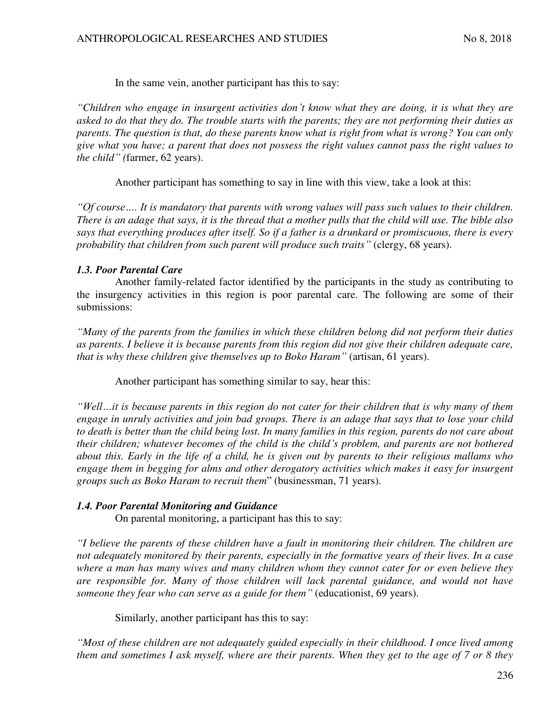In the same vein, another participant has this to say:

*"Children who engage in insurgent activities don't know what they are doing, it is what they are asked to do that they do. The trouble starts with the parents; they are not performing their duties as parents. The question is that, do these parents know what is right from what is wrong? You can only give what you have; a parent that does not possess the right values cannot pass the right values to the child" (*farmer, 62 years).

Another participant has something to say in line with this view, take a look at this:

*"Of course…. It is mandatory that parents with wrong values will pass such values to their children. There is an adage that says, it is the thread that a mother pulls that the child will use. The bible also says that everything produces after itself. So if a father is a drunkard or promiscuous, there is every probability that children from such parent will produce such traits"* (clergy, 68 years).

## *1.3. Poor Parental Care*

Another family-related factor identified by the participants in the study as contributing to the insurgency activities in this region is poor parental care. The following are some of their submissions:

*"Many of the parents from the families in which these children belong did not perform their duties as parents. I believe it is because parents from this region did not give their children adequate care, that is why these children give themselves up to Boko Haram"* (artisan, 61 years).

Another participant has something similar to say, hear this:

*"Well…it is because parents in this region do not cater for their children that is why many of them engage in unruly activities and join bad groups. There is an adage that says that to lose your child to death is better than the child being lost. In many families in this region, parents do not care about their children; whatever becomes of the child is the child's problem, and parents are not bothered about this. Early in the life of a child, he is given out by parents to their religious mallams who engage them in begging for alms and other derogatory activities which makes it easy for insurgent groups such as Boko Haram to recruit them*" (businessman, 71 years).

# *1.4. Poor Parental Monitoring and Guidance*

On parental monitoring, a participant has this to say:

*"I believe the parents of these children have a fault in monitoring their children. The children are not adequately monitored by their parents, especially in the formative years of their lives. In a case where a man has many wives and many children whom they cannot cater for or even believe they are responsible for. Many of those children will lack parental guidance, and would not have someone they fear who can serve as a guide for them"* (educationist, 69 years).

Similarly, another participant has this to say:

*"Most of these children are not adequately guided especially in their childhood. I once lived among them and sometimes I ask myself, where are their parents. When they get to the age of 7 or 8 they*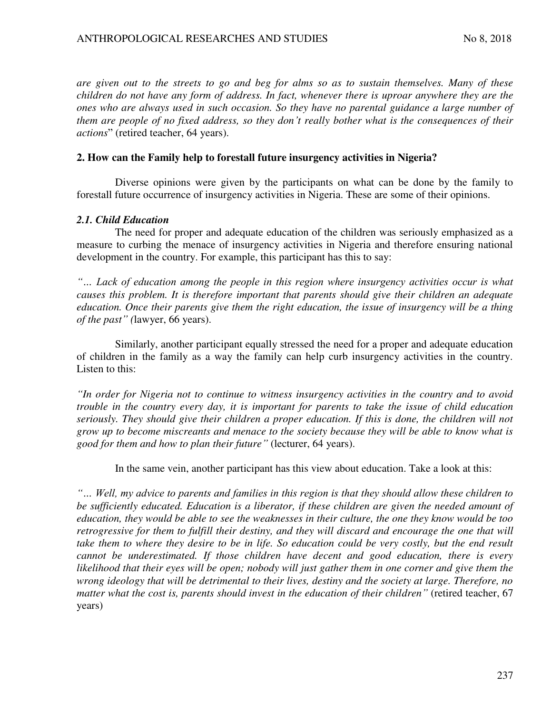*are given out to the streets to go and beg for alms so as to sustain themselves. Many of these children do not have any form of address. In fact, whenever there is uproar anywhere they are the ones who are always used in such occasion. So they have no parental guidance a large number of them are people of no fixed address, so they don't really bother what is the consequences of their actions*" (retired teacher, 64 years).

## **2. How can the Family help to forestall future insurgency activities in Nigeria?**

Diverse opinions were given by the participants on what can be done by the family to forestall future occurrence of insurgency activities in Nigeria. These are some of their opinions.

## *2.1. Child Education*

The need for proper and adequate education of the children was seriously emphasized as a measure to curbing the menace of insurgency activities in Nigeria and therefore ensuring national development in the country. For example, this participant has this to say:

*"… Lack of education among the people in this region where insurgency activities occur is what causes this problem. It is therefore important that parents should give their children an adequate education. Once their parents give them the right education, the issue of insurgency will be a thing of the past" (*lawyer, 66 years).

Similarly, another participant equally stressed the need for a proper and adequate education of children in the family as a way the family can help curb insurgency activities in the country. Listen to this:

*"In order for Nigeria not to continue to witness insurgency activities in the country and to avoid trouble in the country every day, it is important for parents to take the issue of child education seriously. They should give their children a proper education. If this is done, the children will not grow up to become miscreants and menace to the society because they will be able to know what is good for them and how to plan their future"* (lecturer, 64 years).

In the same vein, another participant has this view about education. Take a look at this:

*"… Well, my advice to parents and families in this region is that they should allow these children to be sufficiently educated. Education is a liberator, if these children are given the needed amount of education, they would be able to see the weaknesses in their culture, the one they know would be too retrogressive for them to fulfill their destiny, and they will discard and encourage the one that will take them to where they desire to be in life. So education could be very costly, but the end result cannot be underestimated. If those children have decent and good education, there is every likelihood that their eyes will be open; nobody will just gather them in one corner and give them the wrong ideology that will be detrimental to their lives, destiny and the society at large. Therefore, no matter what the cost is, parents should invest in the education of their children"* (retired teacher, 67 years)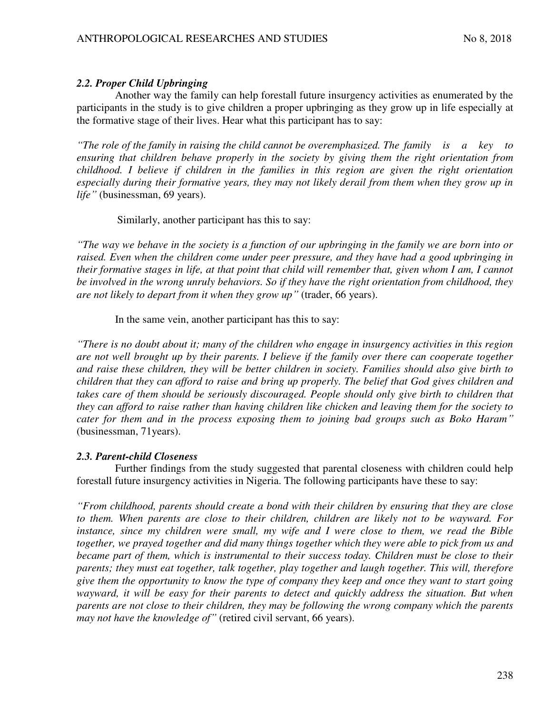# *2.2. Proper Child Upbringing*

Another way the family can help forestall future insurgency activities as enumerated by the participants in the study is to give children a proper upbringing as they grow up in life especially at the formative stage of their lives. Hear what this participant has to say:

*"The role of the family in raising the child cannot be overemphasized. The family is a key to ensuring that children behave properly in the society by giving them the right orientation from childhood. I believe if children in the families in this region are given the right orientation especially during their formative years, they may not likely derail from them when they grow up in life"* (businessman, 69 years).

#### Similarly, another participant has this to say:

*"The way we behave in the society is a function of our upbringing in the family we are born into or raised. Even when the children come under peer pressure, and they have had a good upbringing in their formative stages in life, at that point that child will remember that, given whom I am, I cannot be involved in the wrong unruly behaviors. So if they have the right orientation from childhood, they are not likely to depart from it when they grow up"* (trader, 66 years).

#### In the same vein, another participant has this to say:

*"There is no doubt about it; many of the children who engage in insurgency activities in this region are not well brought up by their parents. I believe if the family over there can cooperate together and raise these children, they will be better children in society. Families should also give birth to children that they can afford to raise and bring up properly. The belief that God gives children and takes care of them should be seriously discouraged. People should only give birth to children that they can afford to raise rather than having children like chicken and leaving them for the society to cater for them and in the process exposing them to joining bad groups such as Boko Haram"* (businessman, 71years).

# *2.3. Parent-child Closeness*

Further findings from the study suggested that parental closeness with children could help forestall future insurgency activities in Nigeria. The following participants have these to say:

*"From childhood, parents should create a bond with their children by ensuring that they are close to them. When parents are close to their children, children are likely not to be wayward. For instance, since my children were small, my wife and I were close to them, we read the Bible together, we prayed together and did many things together which they were able to pick from us and became part of them, which is instrumental to their success today. Children must be close to their parents; they must eat together, talk together, play together and laugh together. This will, therefore give them the opportunity to know the type of company they keep and once they want to start going wayward, it will be easy for their parents to detect and quickly address the situation. But when parents are not close to their children, they may be following the wrong company which the parents may not have the knowledge of"* (retired civil servant, 66 years).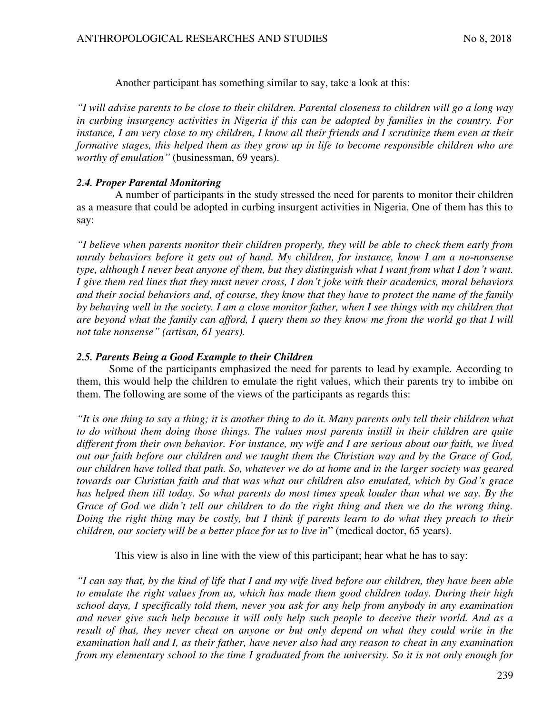Another participant has something similar to say, take a look at this:

*"I will advise parents to be close to their children. Parental closeness to children will go a long way in curbing insurgency activities in Nigeria if this can be adopted by families in the country. For instance, I am very close to my children, I know all their friends and I scrutinize them even at their formative stages, this helped them as they grow up in life to become responsible children who are worthy of emulation"* (businessman, 69 years).

# *2.4. Proper Parental Monitoring*

A number of participants in the study stressed the need for parents to monitor their children as a measure that could be adopted in curbing insurgent activities in Nigeria. One of them has this to say:

*"I believe when parents monitor their children properly, they will be able to check them early from unruly behaviors before it gets out of hand. My children, for instance, know I am a no-nonsense type, although I never beat anyone of them, but they distinguish what I want from what I don't want. I give them red lines that they must never cross, I don't joke with their academics, moral behaviors and their social behaviors and, of course, they know that they have to protect the name of the family by behaving well in the society. I am a close monitor father, when I see things with my children that are beyond what the family can afford, I query them so they know me from the world go that I will not take nonsense" (artisan, 61 years).* 

## *2.5. Parents Being a Good Example to their Children*

Some of the participants emphasized the need for parents to lead by example. According to them, this would help the children to emulate the right values, which their parents try to imbibe on them. The following are some of the views of the participants as regards this:

*"It is one thing to say a thing; it is another thing to do it. Many parents only tell their children what to do without them doing those things. The values most parents instill in their children are quite different from their own behavior. For instance, my wife and I are serious about our faith, we lived out our faith before our children and we taught them the Christian way and by the Grace of God, our children have tolled that path. So, whatever we do at home and in the larger society was geared towards our Christian faith and that was what our children also emulated, which by God's grace has helped them till today. So what parents do most times speak louder than what we say. By the Grace of God we didn't tell our children to do the right thing and then we do the wrong thing. Doing the right thing may be costly, but I think if parents learn to do what they preach to their children, our society will be a better place for us to live in*" (medical doctor, 65 years).

This view is also in line with the view of this participant; hear what he has to say:

*"I can say that, by the kind of life that I and my wife lived before our children, they have been able to emulate the right values from us, which has made them good children today. During their high school days, I specifically told them, never you ask for any help from anybody in any examination and never give such help because it will only help such people to deceive their world. And as a result of that, they never cheat on anyone or but only depend on what they could write in the examination hall and I, as their father, have never also had any reason to cheat in any examination from my elementary school to the time I graduated from the university. So it is not only enough for*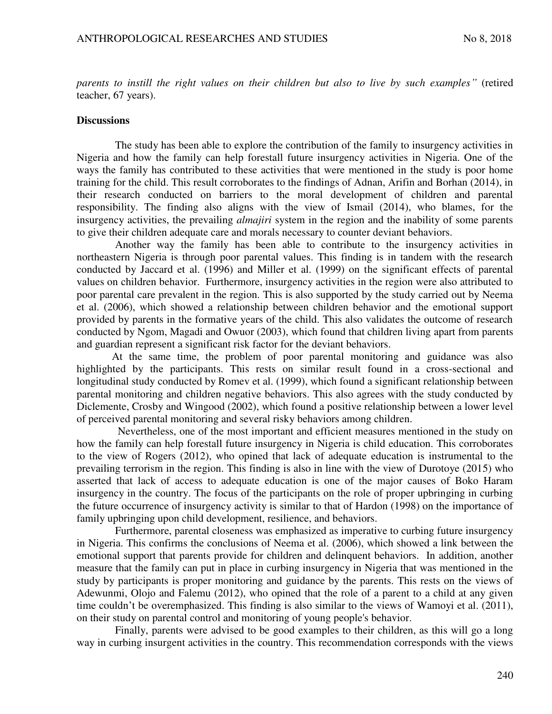*parents to instill the right values on their children but also to live by such examples"* (retired teacher, 67 years).

#### **Discussions**

The study has been able to explore the contribution of the family to insurgency activities in Nigeria and how the family can help forestall future insurgency activities in Nigeria. One of the ways the family has contributed to these activities that were mentioned in the study is poor home training for the child. This result corroborates to the findings of Adnan, Arifin and Borhan (2014), in their research conducted on barriers to the moral development of children and parental responsibility. The finding also aligns with the view of Ismail (2014), who blames, for the insurgency activities, the prevailing *almajiri* system in the region and the inability of some parents to give their children adequate care and morals necessary to counter deviant behaviors.

Another way the family has been able to contribute to the insurgency activities in northeastern Nigeria is through poor parental values. This finding is in tandem with the research conducted by Jaccard et al. (1996) and Miller et al. (1999) on the significant effects of parental values on children behavior. Furthermore, insurgency activities in the region were also attributed to poor parental care prevalent in the region. This is also supported by the study carried out by Neema et al. (2006), which showed a relationship between children behavior and the emotional support provided by parents in the formative years of the child. This also validates the outcome of research conducted by Ngom, Magadi and Owuor (2003), which found that children living apart from parents and guardian represent a significant risk factor for the deviant behaviors.

 At the same time, the problem of poor parental monitoring and guidance was also highlighted by the participants. This rests on similar result found in a cross-sectional and longitudinal study conducted by Romev et al. (1999), which found a significant relationship between parental monitoring and children negative behaviors. This also agrees with the study conducted by Diclemente, Crosby and Wingood (2002), which found a positive relationship between a lower level of perceived parental monitoring and several risky behaviors among children.

 Nevertheless, one of the most important and efficient measures mentioned in the study on how the family can help forestall future insurgency in Nigeria is child education. This corroborates to the view of Rogers (2012), who opined that lack of adequate education is instrumental to the prevailing terrorism in the region. This finding is also in line with the view of Durotoye (2015) who asserted that lack of access to adequate education is one of the major causes of Boko Haram insurgency in the country. The focus of the participants on the role of proper upbringing in curbing the future occurrence of insurgency activity is similar to that of Hardon (1998) on the importance of family upbringing upon child development, resilience, and behaviors.

Furthermore, parental closeness was emphasized as imperative to curbing future insurgency in Nigeria. This confirms the conclusions of Neema et al. (2006), which showed a link between the emotional support that parents provide for children and delinquent behaviors. In addition, another measure that the family can put in place in curbing insurgency in Nigeria that was mentioned in the study by participants is proper monitoring and guidance by the parents. This rests on the views of Adewunmi, Olojo and Falemu (2012), who opined that the role of a parent to a child at any given time couldn't be overemphasized. This finding is also similar to the views of Wamoyi et al. (2011), on their study on parental control and monitoring of young people's behavior.

Finally, parents were advised to be good examples to their children, as this will go a long way in curbing insurgent activities in the country. This recommendation corresponds with the views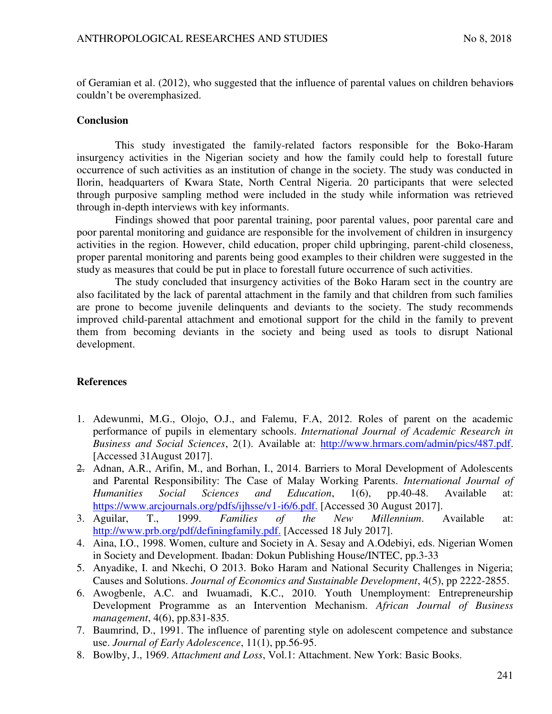of Geramian et al. (2012), who suggested that the influence of parental values on children behaviors couldn't be overemphasized.

#### **Conclusion**

This study investigated the family-related factors responsible for the Boko-Haram insurgency activities in the Nigerian society and how the family could help to forestall future occurrence of such activities as an institution of change in the society. The study was conducted in Ilorin, headquarters of Kwara State, North Central Nigeria. 20 participants that were selected through purposive sampling method were included in the study while information was retrieved through in-depth interviews with key informants.

Findings showed that poor parental training, poor parental values, poor parental care and poor parental monitoring and guidance are responsible for the involvement of children in insurgency activities in the region. However, child education, proper child upbringing, parent-child closeness, proper parental monitoring and parents being good examples to their children were suggested in the study as measures that could be put in place to forestall future occurrence of such activities.

The study concluded that insurgency activities of the Boko Haram sect in the country are also facilitated by the lack of parental attachment in the family and that children from such families are prone to become juvenile delinquents and deviants to the society. The study recommends improved child-parental attachment and emotional support for the child in the family to prevent them from becoming deviants in the society and being used as tools to disrupt National development.

#### **References**

- 1. Adewunmi, M.G., Olojo, O.J., and Falemu, F.A, 2012. Roles of parent on the academic performance of pupils in elementary schools. *International Journal of Academic Research in Business and Social Sciences*, 2(1). Available at: [http://www.hrmars.com/admin/pics/487.pdf.](http://www.hrmars.com/admin/pics/487.pdf) [Accessed 31August 2017].
- 2. Adnan, A.R., Arifin, M., and Borhan, I., 2014. Barriers to Moral Development of Adolescents and Parental Responsibility: The Case of Malay Working Parents. *International Journal of Humanities Social Sciences and Education*, 1(6), pp.40-48. Available at: [https://www.arcjournals.org/pdfs/ijhsse/v1-i6/6.pdf.](https://www.arcjournals.org/pdfs/ijhsse/v1-i6/6.pdf) [Accessed 30 August 2017].
- 3. Aguilar, T., 1999. *Families of the New Millennium*. Available at: [http://www.prb.org/pdf/definingfamily.pdf.](http://www.prb.org/pdf/definingfamily.pdf) [Accessed 18 July 2017].
- 4. Aina, I.O., 1998. Women, culture and Society in A. Sesay and A.Odebiyi, eds. Nigerian Women in Society and Development. Ibadan: Dokun Publishing House/INTEC, pp.3-33
- 5. Anyadike, I. and Nkechi, O 2013. Boko Haram and National Security Challenges in Nigeria; Causes and Solutions. *Journal of Economics and Sustainable Development*, 4(5), pp 2222-2855.
- 6. Awogbenle, A.C. and Iwuamadi, K.C., 2010. Youth Unemployment: Entrepreneurship Development Programme as an Intervention Mechanism. *African Journal of Business management*, 4(6), pp.831-835.
- 7. Baumrind, D., 1991. The influence of parenting style on adolescent competence and substance use. *Journal of Early Adolescence*, 11(1), pp.56-95.
- 8. Bowlby, J., 1969. *Attachment and Loss*, Vol.1: Attachment. New York: Basic Books.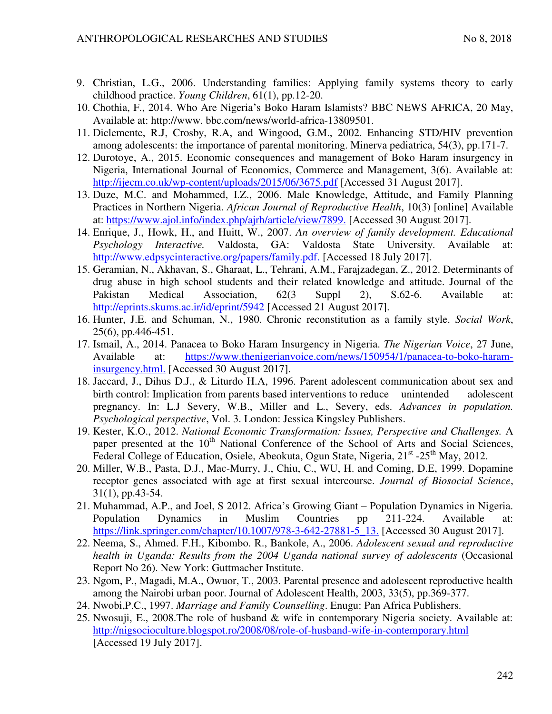- 9. Christian, L.G., 2006. Understanding families: Applying family systems theory to early childhood practice. *Young Children*, 61(1), pp.12-20.
- 10. Chothia, F., 2014. Who Are Nigeria's Boko Haram Islamists? BBC NEWS AFRICA, 20 May, Available at: http://www. bbc.com/news/world-africa-13809501.
- 11. Diclemente, R.J, Crosby, R.A, and Wingood, G.M., 2002. Enhancing STD/HIV prevention among adolescents: the importance of parental monitoring. Minerva pediatrica, 54(3), pp.171-7.
- 12. Durotoye, A., 2015. Economic consequences and management of Boko Haram insurgency in Nigeria, International Journal of Economics, Commerce and Management, 3(6). Available at: <http://ijecm.co.uk/wp-content/uploads/2015/06/3675.pdf>[Accessed 31 August 2017].
- 13. Duze, M.C. and Mohammed, I.Z., 2006. Male Knowledge, Attitude, and Family Planning Practices in Northern Nigeria. *African Journal of Reproductive Health*, 10(3) [online] Available at: [https://www.ajol.info/index.php/ajrh/article/view/7899.](https://www.ajol.info/index.php/ajrh/article/view/7899) [Accessed 30 August 2017].
- 14. Enrique, J., Howk, H., and Huitt, W., 2007. *An overview of family development. Educational Psychology Interactive.* Valdosta, GA: Valdosta State University. Available at: [http://www.edpsycinteractive.org/papers/family.pdf.](http://www.edpsycinteractive.org/papers/family.pdf) [Accessed 18 July 2017].
- 15. Geramian, N., Akhavan, S., Gharaat, L., Tehrani, A.M., Farajzadegan, Z., 2012. Determinants of drug abuse in high school students and their related knowledge and attitude. Journal of the Pakistan Medical Association, 62(3 Suppl 2), S.62-6. Available at: <http://eprints.skums.ac.ir/id/eprint/5942>[Accessed 21 August 2017].
- 16. Hunter, J.E. and Schuman, N., 1980. Chronic reconstitution as a family style. *Social Work*, 25(6), pp.446-451.
- 17. Ismail, A., 2014. Panacea to Boko Haram Insurgency in Nigeria. *The Nigerian Voice*, 27 June, Available at: [https://www.thenigerianvoice.com/news/150954/1/panacea-to-boko-haram](https://www.thenigerianvoice.com/news/150954/1/panacea-to-boko-haram-insurgency.html)[insurgency.html.](https://www.thenigerianvoice.com/news/150954/1/panacea-to-boko-haram-insurgency.html) [Accessed 30 August 2017].
- 18. Jaccard, J., Dihus D.J., & Liturdo H.A, 1996. Parent adolescent communication about sex and birth control: Implication from parents based interventions to reduce unintended adolescent pregnancy. In: L.J Severy, W.B., Miller and L., Severy, eds. *Advances in population. Psychological perspective*, Vol. 3. London: Jessica Kingsley Publishers.
- 19. Kester, K.O., 2012. *National Economic Transformation: Issues, Perspective and Challenges.* A paper presented at the 10<sup>th</sup> National Conference of the School of Arts and Social Sciences, Federal College of Education, Osiele, Abeokuta, Ogun State, Nigeria,  $21<sup>st</sup> - 25<sup>th</sup>$  May, 2012.
- 20. Miller, W.B., Pasta, D.J., Mac-Murry, J., Chiu, C., WU, H. and Coming, D.E, 1999. Dopamine receptor genes associated with age at first sexual intercourse. *Journal of Biosocial Science*, 31(1), pp.43-54.
- 21. Muhammad, A.P., and Joel, S 2012. Africa's Growing Giant Population Dynamics in Nigeria. Population Dynamics in Muslim Countries pp 211-224. Available at: [https://link.springer.com/chapter/10.1007/978-3-642-27881-5\\_13.](https://link.springer.com/chapter/10.1007/978-3-642-27881-5_13) [Accessed 30 August 2017].
- 22. Neema, S., Ahmed. F.H., Kibombo. R., Bankole, A., 2006. *Adolescent sexual and reproductive health in Uganda: Results from the 2004 Uganda national survey of adolescents* (Occasional Report No 26). New York: Guttmacher Institute.
- 23. Ngom, P., Magadi, M.A., Owuor, T., 2003. Parental presence and adolescent reproductive health among the Nairobi urban poor. Journal of Adolescent Health, 2003, 33(5), pp.369-377.
- 24. Nwobi,P.C., 1997. *Marriage and Family Counselling*. Enugu: Pan Africa Publishers.
- 25. Nwosuji, E., 2008.The role of husband & wife in contemporary Nigeria society. Available at: <http://nigsocioculture.blogspot.ro/2008/08/role-of-husband-wife-in-contemporary.html> [Accessed 19 July 2017].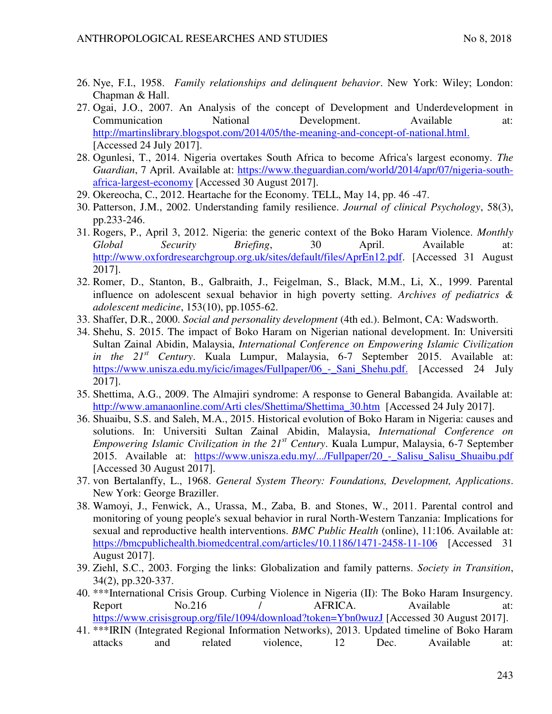- 26. Nye, F.I., 1958. *Family relationships and delinquent behavior*. New York: Wiley; London: Chapman & Hall.
- 27. Ogai, J.O., 2007. An Analysis of the concept of Development and Underdevelopment in Communication National Development. Available at: [http://martinslibrary.blogspot.com/2014/05/the-meaning-and-concept-of-national.html.](http://martinslibrary.blogspot.com/2014/05/the-meaning-and-concept-of-national.html) [Accessed 24 July 2017].
- 28. Ogunlesi, T., 2014. Nigeria overtakes South Africa to become Africa's largest economy. *The Guardian*, 7 April. Available at: [https://www.theguardian.com/world/2014/apr/07/nigeria-south](https://www.theguardian.com/world/2014/apr/07/nigeria-south-africa-largest-economy)[africa-largest-economy](https://www.theguardian.com/world/2014/apr/07/nigeria-south-africa-largest-economy) [Accessed 30 August 2017].
- 29. Okereocha, C., 2012. Heartache for the Economy. TELL, May 14, pp. 46 -47.
- 30. Patterson, J.M., 2002. Understanding family resilience. *Journal of clinical Psychology*, 58(3), pp.233-246.
- 31. Rogers, P., April 3, 2012. Nigeria: the generic context of the Boko Haram Violence. *Monthly Global Security Briefing*, 30 April. Available at: [http://www.oxfordresearchgroup.org.uk/sites/default/files/AprEn12.pdf.](http://www.oxfordresearchgroup.org.uk/sites/default/files/AprEn12.pdf) [Accessed 31 August 2017].
- 32. Romer, D., Stanton, B., Galbraith, J., Feigelman, S., Black, M.M., Li, X., 1999. Parental influence on adolescent sexual behavior in high poverty setting. *Archives of pediatrics & adolescent medicine*, 153(10), pp.1055-62.
- 33. Shaffer, D.R., 2000. *Social and personality development* (4th ed.). Belmont, CA: Wadsworth.
- 34. Shehu, S. 2015. The impact of Boko Haram on Nigerian national development. In: Universiti Sultan Zainal Abidin, Malaysia, *International Conference on Empowering Islamic Civilization in the 21st Century*. Kuala Lumpur, Malaysia, 6-7 September 2015. Available at: https://www.unisza.edu.my/icic/images/Fullpaper/06 - Sani\_Shehu.pdf. [Accessed 24 July 2017].
- 35. Shettima, A.G., 2009. The Almajiri syndrome: A response to General Babangida. Available at: [http://www.amanaonline.com/Arti cles/Shettima/Shettima\\_30.htm](http://www.amanaonline.com/Arti%20cles/Shettima/Shettima_30.htm) [Accessed 24 July 2017].
- 36. Shuaibu, S.S. and Saleh, M.A., 2015. Historical evolution of Boko Haram in Nigeria: causes and solutions. In: Universiti Sultan Zainal Abidin, Malaysia, *International Conference on Empowering Islamic Civilization in the 21st Century*. Kuala Lumpur, Malaysia, 6-7 September 2015. Available at: https://www.unisza.edu.my/.../Fullpaper/20 - Salisu Salisu Shuaibu.pdf [Accessed 30 August 2017].
- 37. von Bertalanffy, L., 1968. *General System Theory: Foundations, Development, Applications*. New York: George Braziller.
- 38. Wamoyi, J., Fenwick, A., Urassa, M., Zaba, B. and Stones, W., 2011. Parental control and monitoring of young people's sexual behavior in rural North-Western Tanzania: Implications for sexual and reproductive health interventions. *BMC Public Health* (online), 11:106. Available at: <https://bmcpublichealth.biomedcentral.com/articles/10.1186/1471-2458-11-106>[Accessed 31] August 2017].
- 39. Ziehl, S.C., 2003. Forging the links: Globalization and family patterns. *Society in Transition*, 34(2), pp.320-337.
- 40. \*\*\*International Crisis Group. Curbing Violence in Nigeria (II): The Boko Haram Insurgency. Report No.216 / AFRICA. Available at: <https://www.crisisgroup.org/file/1094/download?token=Ybn0wuzJ>[Accessed 30 August 2017].
- 41. \*\*\*IRIN (Integrated Regional Information Networks), 2013. Updated timeline of Boko Haram attacks and related violence, 12 Dec. Available at: